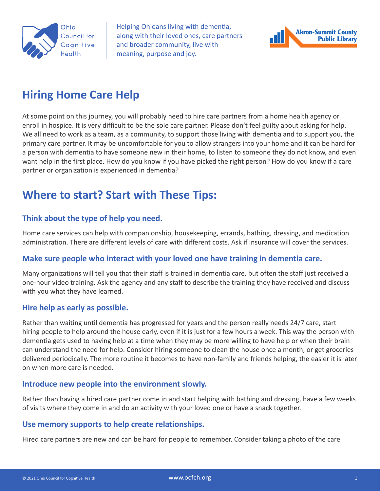

Helping Ohioans living with dementia, along with their loved ones, care partners and broader community, live with meaning, purpose and joy.



## **Hiring Home Care Help**

At some point on this journey, you will probably need to hire care partners from a home health agency or enroll in hospice. It is very difficult to be the sole care partner. Please don't feel guilty about asking for help. We all need to work as a team, as a community, to support those living with dementia and to support you, the primary care partner. It may be uncomfortable for you to allow strangers into your home and it can be hard for a person with dementia to have someone new in their home, to listen to someone they do not know, and even want help in the first place. How do you know if you have picked the right person? How do you know if a care partner or organization is experienced in dementia?

## **Where to start? Start with These Tips:**

#### **Think about the type of help you need.**

Home care services can help with companionship, housekeeping, errands, bathing, dressing, and medication administration. There are different levels of care with different costs. Ask if insurance will cover the services.

#### **Make sure people who interact with your loved one have training in dementia care.**

Many organizations will tell you that their staff is trained in dementia care, but often the staff just received a one-hour video training. Ask the agency and any staff to describe the training they have received and discuss with you what they have learned.

#### **Hire help as early as possible.**

Rather than waiting until dementia has progressed for years and the person really needs 24/7 care, start hiring people to help around the house early, even if it is just for a few hours a week. This way the person with dementia gets used to having help at a time when they may be more willing to have help or when their brain can understand the need for help. Consider hiring someone to clean the house once a month, or get groceries delivered periodically. The more routine it becomes to have non-family and friends helping, the easier it is later on when more care is needed.

#### **Introduce new people into the environment slowly.**

Rather than having a hired care partner come in and start helping with bathing and dressing, have a few weeks of visits where they come in and do an activity with your loved one or have a snack together.

#### **Use memory supports to help create relationships.**

Hired care partners are new and can be hard for people to remember. Consider taking a photo of the care